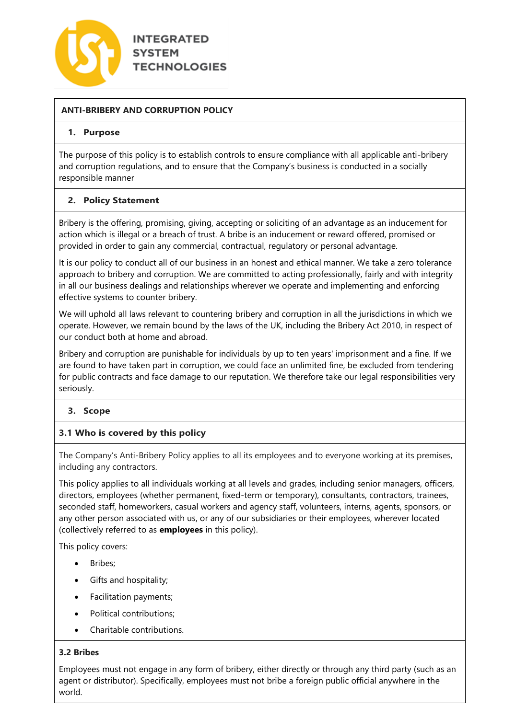

# **ANTI-BRIBERY AND CORRUPTION POLICY**

### **1. Purpose**

The purpose of this policy is to establish controls to ensure compliance with all applicable anti-bribery and corruption regulations, and to ensure that the Company's business is conducted in a socially responsible manner

## **2. Policy Statement**

Bribery is the offering, promising, giving, accepting or soliciting of an advantage as an inducement for action which is illegal or a breach of trust. A bribe is an inducement or reward offered, promised or provided in order to gain any commercial, contractual, regulatory or personal advantage.

It is our policy to conduct all of our business in an honest and ethical manner. We take a zero tolerance approach to bribery and corruption. We are committed to acting professionally, fairly and with integrity in all our business dealings and relationships wherever we operate and implementing and enforcing effective systems to counter bribery.

We will uphold all laws relevant to countering bribery and corruption in all the jurisdictions in which we operate. However, we remain bound by the laws of the UK, including the Bribery Act 2010, in respect of our conduct both at home and abroad.

Bribery and corruption are punishable for individuals by up to ten years' imprisonment and a fine. If we are found to have taken part in corruption, we could face an unlimited fine, be excluded from tendering for public contracts and face damage to our reputation. We therefore take our legal responsibilities very seriously.

## **3. Scope**

## **3.1 Who is covered by this policy**

The Company's Anti-Bribery Policy applies to all its employees and to everyone working at its premises, including any contractors.

This policy applies to all individuals working at all levels and grades, including senior managers, officers, directors, employees (whether permanent, fixed-term or temporary), consultants, contractors, trainees, seconded staff, homeworkers, casual workers and agency staff, volunteers, interns, agents, sponsors, or any other person associated with us, or any of our subsidiaries or their employees, wherever located (collectively referred to as **employees** in this policy).

This policy covers:

- Bribes:
- Gifts and hospitality;
- Facilitation payments;
- Political contributions;
- Charitable contributions.

## **3.2 Bribes**

Employees must not engage in any form of bribery, either directly or through any third party (such as an agent or distributor). Specifically, employees must not bribe a foreign public official anywhere in the world.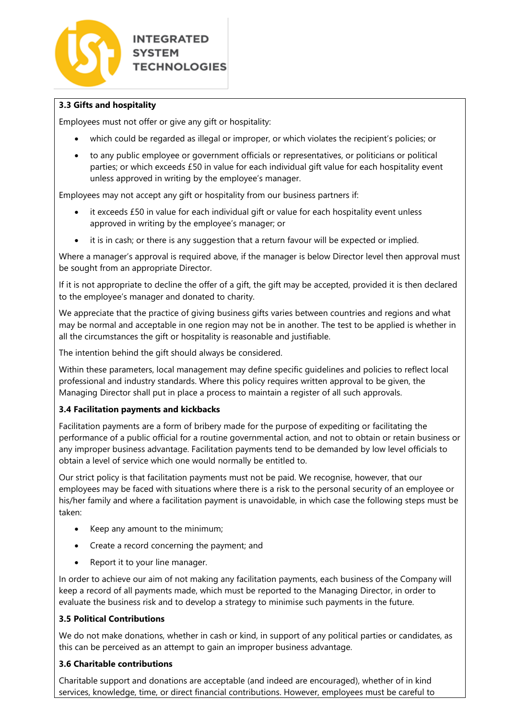

## **3.3 Gifts and hospitality**

Employees must not offer or give any gift or hospitality:

- which could be regarded as illegal or improper, or which violates the recipient's policies; or
- to any public employee or government officials or representatives, or politicians or political parties; or which exceeds £50 in value for each individual gift value for each hospitality event unless approved in writing by the employee's manager.

Employees may not accept any gift or hospitality from our business partners if:

- it exceeds £50 in value for each individual gift or value for each hospitality event unless approved in writing by the employee's manager; or
- it is in cash; or there is any suggestion that a return favour will be expected or implied.

Where a manager's approval is required above, if the manager is below Director level then approval must be sought from an appropriate Director.

If it is not appropriate to decline the offer of a gift, the gift may be accepted, provided it is then declared to the employee's manager and donated to charity.

We appreciate that the practice of giving business gifts varies between countries and regions and what may be normal and acceptable in one region may not be in another. The test to be applied is whether in all the circumstances the gift or hospitality is reasonable and justifiable.

The intention behind the gift should always be considered.

Within these parameters, local management may define specific guidelines and policies to reflect local professional and industry standards. Where this policy requires written approval to be given, the Managing Director shall put in place a process to maintain a register of all such approvals.

## **3.4 Facilitation payments and kickbacks**

Facilitation payments are a form of bribery made for the purpose of expediting or facilitating the performance of a public official for a routine governmental action, and not to obtain or retain business or any improper business advantage. Facilitation payments tend to be demanded by low level officials to obtain a level of service which one would normally be entitled to.

Our strict policy is that facilitation payments must not be paid. We recognise, however, that our employees may be faced with situations where there is a risk to the personal security of an employee or his/her family and where a facilitation payment is unavoidable, in which case the following steps must be taken:

- Keep any amount to the minimum;
- Create a record concerning the payment; and
- Report it to your line manager.

In order to achieve our aim of not making any facilitation payments, each business of the Company will keep a record of all payments made, which must be reported to the Managing Director, in order to evaluate the business risk and to develop a strategy to minimise such payments in the future.

### **3.5 Political Contributions**

We do not make donations, whether in cash or kind, in support of any political parties or candidates, as this can be perceived as an attempt to gain an improper business advantage.

#### **3.6 Charitable contributions**

Charitable support and donations are acceptable (and indeed are encouraged), whether of in kind services, knowledge, time, or direct financial contributions. However, employees must be careful to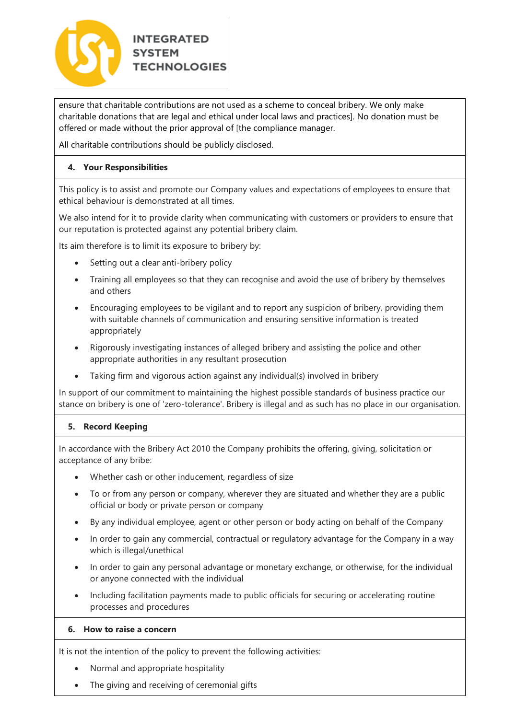

ensure that charitable contributions are not used as a scheme to conceal bribery. We only make charitable donations that are legal and ethical under local laws and practices]. No donation must be offered or made without the prior approval of [the compliance manager.

All charitable contributions should be publicly disclosed.

## **4. Your Responsibilities**

This policy is to assist and promote our Company values and expectations of employees to ensure that ethical behaviour is demonstrated at all times.

We also intend for it to provide clarity when communicating with customers or providers to ensure that our reputation is protected against any potential bribery claim.

Its aim therefore is to limit its exposure to bribery by:

- Setting out a clear anti-bribery policy
- Training all employees so that they can recognise and avoid the use of bribery by themselves and others
- Encouraging employees to be vigilant and to report any suspicion of bribery, providing them with suitable channels of communication and ensuring sensitive information is treated appropriately
- Rigorously investigating instances of alleged bribery and assisting the police and other appropriate authorities in any resultant prosecution
- Taking firm and vigorous action against any individual(s) involved in bribery

In support of our commitment to maintaining the highest possible standards of business practice our stance on bribery is one of 'zero-tolerance'. Bribery is illegal and as such has no place in our organisation.

## **5. Record Keeping**

In accordance with the Bribery Act 2010 the Company prohibits the offering, giving, solicitation or acceptance of any bribe:

- Whether cash or other inducement, regardless of size
- To or from any person or company, wherever they are situated and whether they are a public official or body or private person or company
- By any individual employee, agent or other person or body acting on behalf of the Company
- In order to gain any commercial, contractual or regulatory advantage for the Company in a way which is illegal/unethical
- In order to gain any personal advantage or monetary exchange, or otherwise, for the individual or anyone connected with the individual
- Including facilitation payments made to public officials for securing or accelerating routine processes and procedures

## **6. How to raise a concern**

It is not the intention of the policy to prevent the following activities:

- Normal and appropriate hospitality
- The giving and receiving of ceremonial gifts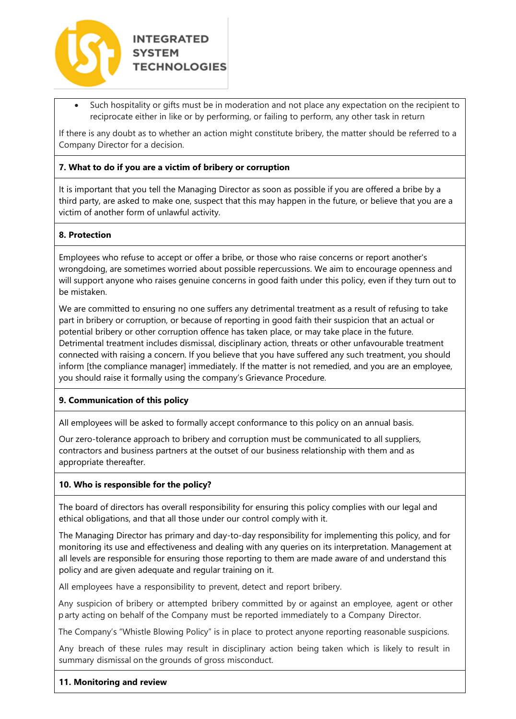

• Such hospitality or gifts must be in moderation and not place any expectation on the recipient to reciprocate either in like or by performing, or failing to perform, any other task in return

If there is any doubt as to whether an action might constitute bribery, the matter should be referred to a Company Director for a decision.

### **7. What to do if you are a victim of bribery or corruption**

It is important that you tell the Managing Director as soon as possible if you are offered a bribe by a third party, are asked to make one, suspect that this may happen in the future, or believe that you are a victim of another form of unlawful activity.

### **8. Protection**

Employees who refuse to accept or offer a bribe, or those who raise concerns or report another's wrongdoing, are sometimes worried about possible repercussions. We aim to encourage openness and will support anyone who raises genuine concerns in good faith under this policy, even if they turn out to be mistaken.

We are committed to ensuring no one suffers any detrimental treatment as a result of refusing to take part in bribery or corruption, or because of reporting in good faith their suspicion that an actual or potential bribery or other corruption offence has taken place, or may take place in the future. Detrimental treatment includes dismissal, disciplinary action, threats or other unfavourable treatment connected with raising a concern. If you believe that you have suffered any such treatment, you should inform [the compliance manager] immediately. If the matter is not remedied, and you are an employee, you should raise it formally using the company's Grievance Procedure.

#### **9. Communication of this policy**

All employees will be asked to formally accept conformance to this policy on an annual basis.

Our zero-tolerance approach to bribery and corruption must be communicated to all suppliers, contractors and business partners at the outset of our business relationship with them and as appropriate thereafter.

#### **10. Who is responsible for the policy?**

The board of directors has overall responsibility for ensuring this policy complies with our legal and ethical obligations, and that all those under our control comply with it.

The Managing Director has primary and day-to-day responsibility for implementing this policy, and for monitoring its use and effectiveness and dealing with any queries on its interpretation. Management at all levels are responsible for ensuring those reporting to them are made aware of and understand this policy and are given adequate and regular training on it.

All employees have a responsibility to prevent, detect and report bribery.

Any suspicion of bribery or attempted bribery committed by or against an employee, agent or other party acting on behalf of the Company must be reported immediately to a Company Director.

The Company's "Whistle Blowing Policy" is in place to protect anyone reporting reasonable suspicions.

Any breach of these rules may result in disciplinary action being taken which is likely to result in summary dismissal on the grounds of gross misconduct.

#### **11. Monitoring and review**